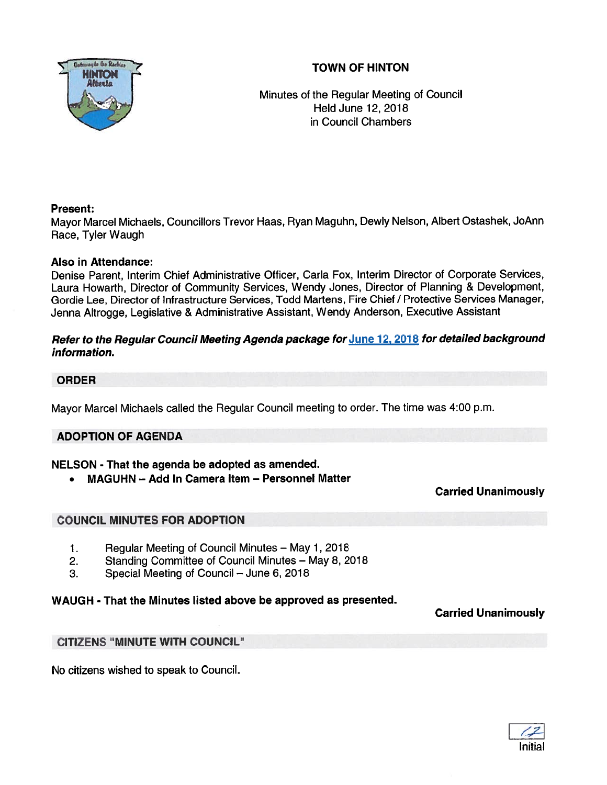# TOWN OF HINTON



Minutes of the Regular Meeting of Council Held June 12, 2018 in Council Chambers

### Present:

Mayor Marcel Michaels, Councillors Trevor Haas, Ryan Maguhn, Dewly Nelson, Albert Ostashek, JoAnn Race, Tyler Waugh

### Also in Attendance:

Denise Parent, Interim Chief Administrative Officer, Carla Fox, Interim Director of Corporate Services, Laura Howarth, Director of Community Services, Wendy Jones, Director of Planning & Development, Gordie Lee, Director of Infrastructure Services, Todd Martens, Fire Chief / Protective Services Manager, Jenna Altrogge, Legislative & Administrative Assistant, Wendy Anderson, Executive Assistant

### Refer to the Regular Council Meeting Agenda package for June 12, 2018 for detailed background information.

### ORDER

Mayor Marcel Michaels called the Regular Council meeting to order. The time was 4:00 p.m.

### ADOPTION OF AGENDA

### NELSON - That the agenda be adopted as amended.

•MAGUHN — Add In Camera Item — Personnel Matter

### Carried Unanimously

## COUNCIL MINUTES FOR ADOPTION

- 1. Regular Meeting of Council Minutes May 1, 2018
- 2. Standing Committee of Council Minutes May 8, 2018
- 3. Special Meeting of Council June 6, 2018

## WAUGH - That the Minutes listed above be approved as presented.

## Carried Unanimously

## CITIZENS "MINUTE WITH COUNCIL"

No citizens wished to speak to Council.

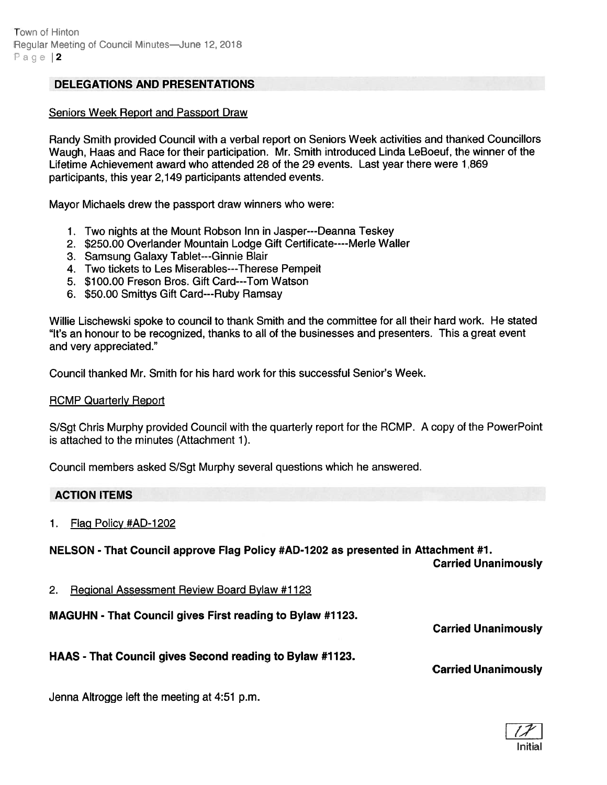### DELEGATIONS AND PRESENTATIONS

#### Seniors Week Report and Passport Draw

Randy Smith provided Council with <sup>a</sup> verbal repor<sup>t</sup> on Seniors Week activities and thanked Councillors Waugh, Haas and Race for their participation. Mr. Smith introduced Linda LeBoeuf, the winner of the Lifetime Achievement award who attended 28 of the 29 events. Last year there were 1,869 participants, this year 2,149 participants attended events.

Mayor Michaels drew the passpor<sup>t</sup> draw winners who were:

- 1. Two nights at the Mount Robson Inn in Jasper---Deanna Teskey
- 2. \$250.00 Overlander Mountain Lodge Gift Certificate----Merle Wailer
- 3. Samsung Galaxy Tablet---Ginnie Blair
- 4. Two tickets to Les Miserables---Therese Pempeit
- 5. \$100.00 Freson Bros. Gift Card---Tom Watson
- 6. \$50.00 Smittys Gift Card---Ruby Ramsay

Willie Lischewski spoke to council to thank Smith and the committee for all their hard work. He stated "It's an honour to be recognized, thanks to all of the businesses and presenters. This <sup>a</sup> grea<sup>t</sup> event and very appreciated."

Council thanked Mr. Smith for his hard work for this successful Senior's Week.

#### RCMP Quarterly Report

S/Sgt Chris Murphy provided Council with the quarterly repor<sup>t</sup> for the ROMP. A copy of the PowerPoint is attached to the minutes (Attachment 1).

Council members asked S/Sgt Murphy several questions which he answered.

#### ACTION ITEMS

1. Flag Policy #AD-1202

### NELSON - That Council approve Flag Policy #AD-1202 as presented in Attachment #1.

Carried Unanimously

2. Regional Assessment Review Board Bylaw #1123

MAGUHN - That Council gives First reading to Bylaw #1123.

Carried Unanimously

## HAAS -That Council gives Second reading to Bylaw #1123.

Carried Unanimously

Jenna Altrogge left the meeting at 4:51 p.m.

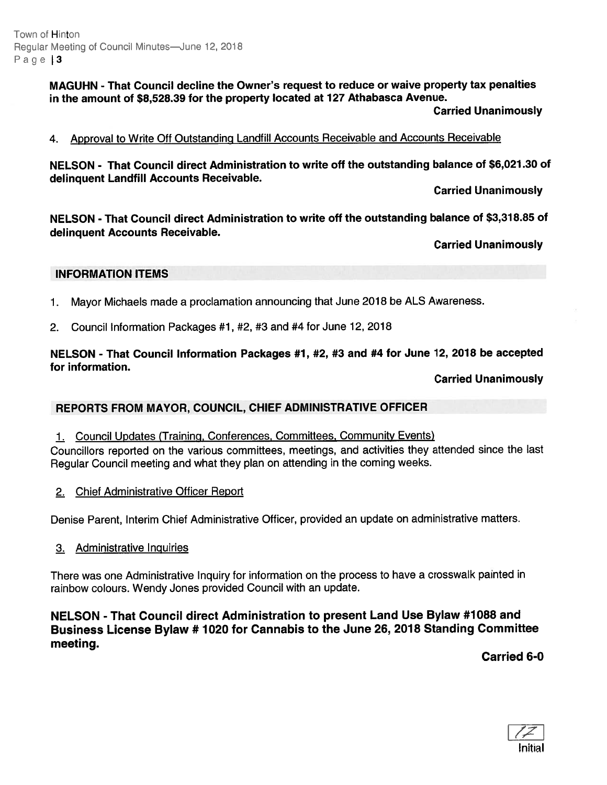Town of Hinton Regular Meeting of Council Minutes—June 12, 2018 Page 3

> MAGUHN - That Council decline the Owner's reques<sup>t</sup> to reduce or waive property tax penalties in the amount of \$8,528.39 for the property located at 127 Athabasca Avenue.

> > Carried Unanimously

#### 4. Approval to Write Off Outstanding Landfill Accounts Receivable and Accounts Receivable

NELSON - That Council direct Administration to write off the outstanding balance of \$6,021.30 of delinquent Landfill Accounts Receivable.

Carried Unanimously

NELSON -That Council direct Administration to write off the outstanding balance of \$3,318.85 of delinquent Accounts Receivable.

Carried Unanimously

#### INFORMATION ITEMS

- 1. Mayor Michaels made <sup>a</sup> proclamation announcing that June <sup>2018</sup> be ALS Awareness.
- 2. Council Information Packages #1, #2, #3 and #4 for June 12, 2018

### NELSON - That Council Information Packages #1, #2, #3 and #4 for June 12, <sup>2018</sup> be accepted for information.

Carried Unanimously

#### REPORTS FROM MAYOR, COUNCIL, CHIEF ADMINISTRATIVE OFFICER

1. Council Updates (Training, Conferences, Committees, Community Events)

Councillors reported on the various committees, meetings, and activities they attended since the last Regular Council meeting and what they <sup>p</sup>lan on attending in the coming weeks.

2. Chief Administrative Officer Report

Denise Parent, Interim Chief Administrative Officer, provided an update on administrative matters.

3. Administrative Inquiries

There was one Administrative lnquiry for information on the process to have <sup>a</sup> crosswalk painted in rainbow colours. Wendy Jones provided Council with an update.

NELSON -That Council direct Administration to presen<sup>t</sup> Land Use Bylaw #7 088 and Business License Bylaw # <sup>7020</sup> for Cannabis to the June 26, <sup>2018</sup> Standing Committee meeting.

Carried 6-0

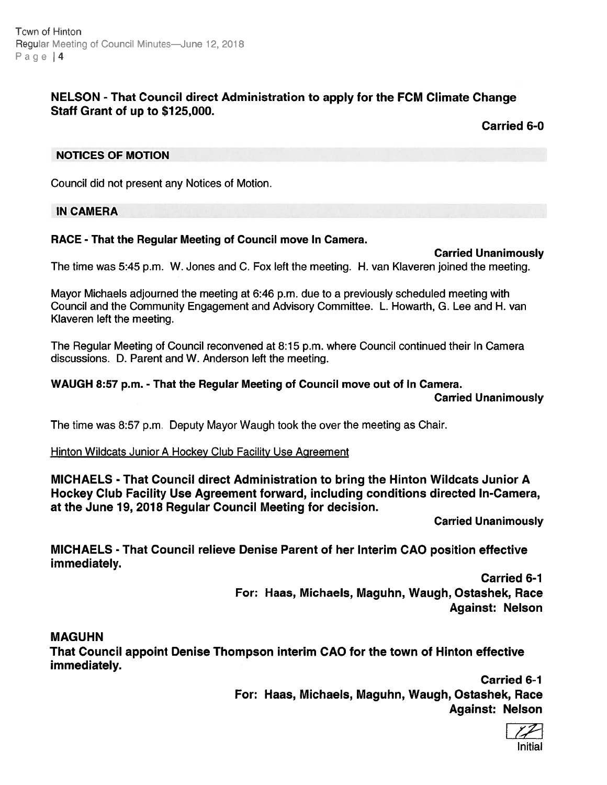# NELSON - That Council direct Administration to apply for the FCM Climate Change Staff Grant of up to \$725,000.

Carried 6-0

### NOTICES OF MOTION

Council did not presen<sup>t</sup> any Notices of Motion.

### IN CAMERA

## RACE - That the Regular Meeting of Council move In Camera.

### Carried Unanimously

The time was 5:45 p.m. W. Jones and C. Fox left the meeting. H. van Kiaveren joined the meeting.

Mayor Michaels adjourned the meeting at 6:46 p.m. due to <sup>a</sup> previously scheduled meeting with Council and the Community Engagement and Advisory Committee. L. Howarth, G. Lee and H. van Klaveren left the meeting.

The Regular Meeting of Council reconvened at 8:15 p.m. where Council continued their In Camera discussions. D. Parent and W. Anderson left the meeting.

### WAUGH 8:57 p.m. - That the Regular Meeting of Council move out of In Camera.

Carried Unanimously

The time was 8:57 p.m. Deputy Mayor Waugh took the over the meeting as Chair.

## Hinton Wildcats Junior A Hockey Club Facility Use Agreement

MICHAELS - That Council direct Administration to bring the Hinton Wildcats Junior A Hockey Club Facility Use Agreement forward, including conditions directed In-Camera, at the June 19, 2018 Regular Council Meeting for decision.

Carried Unanimously

MICHAELS - That Council relieve Denise Parent of her Interim CAO position effective immediately.

> Carried 6-1 For: Haas, Michaels, Maguhn, Waugh, Ostashek, Race Against: Nelson

## MAGUHN

That Council appoint Denise Thompson interim CAO for the town of Hinton effective immediately.

> Carried 6-1 For: Haas, Michaels, Maguhn, Waugh, Ostashek, Race Against: Nelson

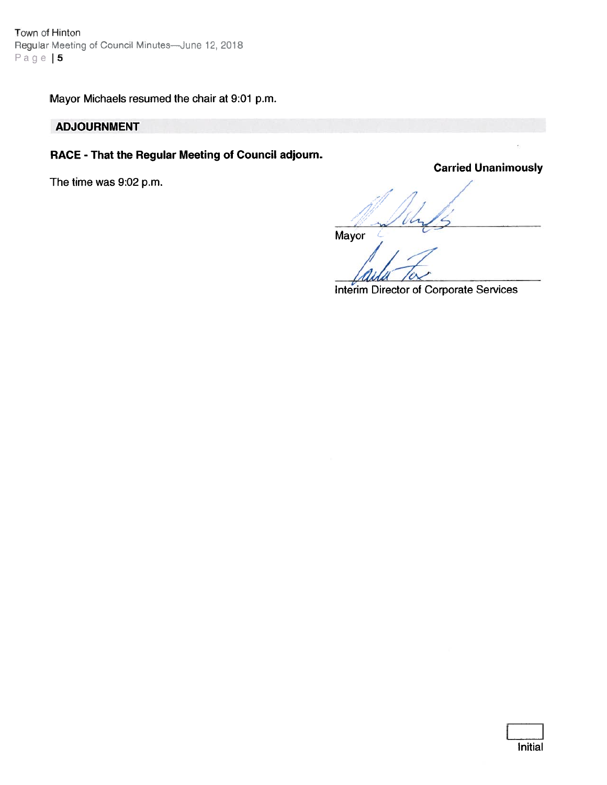Town of Hinton Regular Meeting of Council Minutes-June 12, 2018 Page | 5

Mayor Michaels resumed the chair at 9:01 p.m.

# ADJOURNMENT

# RACE -That the Regular Meeting of Council adjourn.

The time was 9:02 p.m.

Carried Unanimously

 $\mathcal{A}$ m ver 5

Mayor

Interim Director of Corporate Services

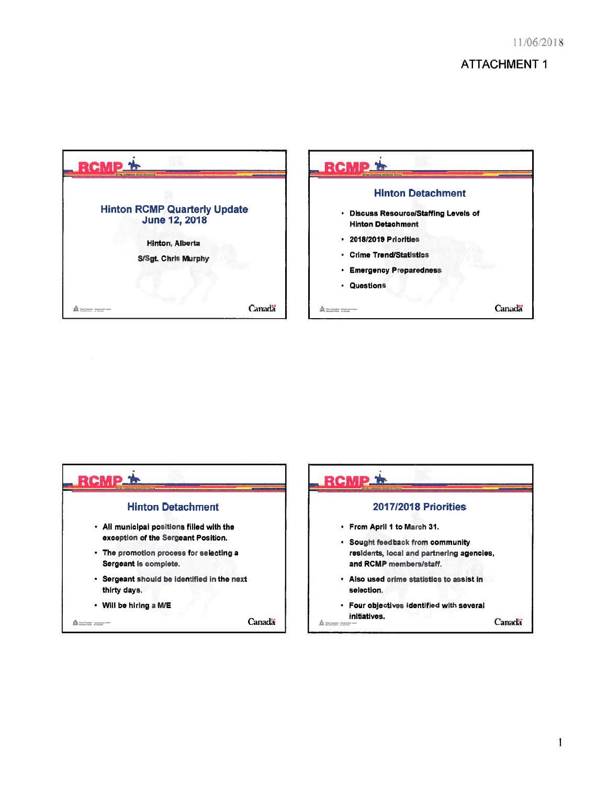# ATTACHMENT 1





 $\mathbf{I}$